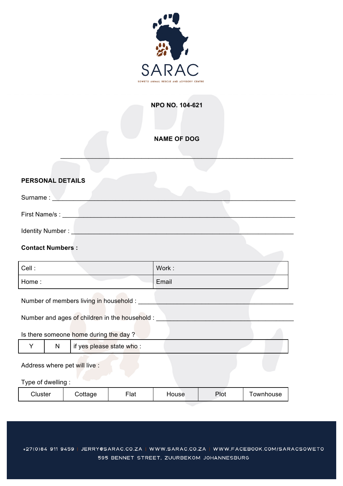

## **NPO NO. 104-621**

## **NAME OF DOG**

 $\mathcal{L}_\mathcal{L} = \mathcal{L}_\mathcal{L} = \mathcal{L}_\mathcal{L} = \mathcal{L}_\mathcal{L} = \mathcal{L}_\mathcal{L} = \mathcal{L}_\mathcal{L} = \mathcal{L}_\mathcal{L} = \mathcal{L}_\mathcal{L} = \mathcal{L}_\mathcal{L} = \mathcal{L}_\mathcal{L} = \mathcal{L}_\mathcal{L} = \mathcal{L}_\mathcal{L} = \mathcal{L}_\mathcal{L} = \mathcal{L}_\mathcal{L} = \mathcal{L}_\mathcal{L} = \mathcal{L}_\mathcal{L} = \mathcal{L}_\mathcal{L}$ 

### **PERSONAL DETAILS**

| Surname:         |  |
|------------------|--|
|                  |  |
| First Name/s :   |  |
| Identity Number: |  |

### **Contact Numbers :**

| Cell : | Work: |
|--------|-------|
| Home:  | Email |

Number of members living in household : \_\_\_\_\_\_\_\_\_\_\_\_\_\_\_\_\_\_\_\_\_\_\_\_\_\_\_\_\_\_\_\_\_\_\_\_\_\_\_\_\_\_\_\_

Number and ages of children in the household : \_

## Is there someone home during the day ?

|  | if yes please state who : |  |
|--|---------------------------|--|
|  |                           |  |

#### Address where pet will live :

### Type of dwelling :

|  | Cluster | $\cup$ ottage<br>$\overline{\phantom{a}}$ | $F$ lat | `ouse_ | $P$ lol | ownhouse |
|--|---------|-------------------------------------------|---------|--------|---------|----------|
|--|---------|-------------------------------------------|---------|--------|---------|----------|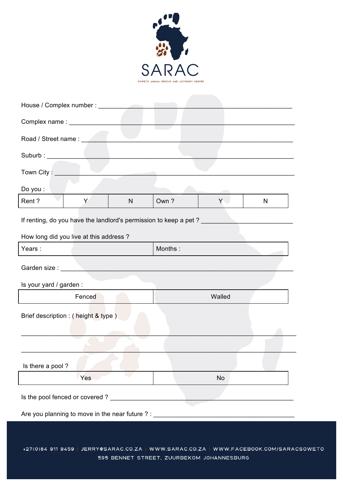

| Road / Street name : New York      |                                             |   |                                                                  |                                                                                  |   |  |
|------------------------------------|---------------------------------------------|---|------------------------------------------------------------------|----------------------------------------------------------------------------------|---|--|
| Suburb : ____________              |                                             |   |                                                                  |                                                                                  |   |  |
| Town City: __                      |                                             |   |                                                                  |                                                                                  |   |  |
| Do you :                           |                                             |   |                                                                  |                                                                                  |   |  |
| Rent?                              | Y                                           | N | Own?                                                             | Y.                                                                               | N |  |
|                                    |                                             |   | If renting, do you have the landlord's permission to keep a pet? |                                                                                  |   |  |
|                                    | How long did you live at this address?      |   |                                                                  |                                                                                  |   |  |
| Years:                             |                                             |   | Months:                                                          |                                                                                  |   |  |
|                                    |                                             |   |                                                                  |                                                                                  |   |  |
| Is your yard / garden :            |                                             |   |                                                                  |                                                                                  |   |  |
| Fenced<br>Walled                   |                                             |   |                                                                  |                                                                                  |   |  |
| Brief description: (height & type) |                                             |   |                                                                  |                                                                                  |   |  |
|                                    |                                             |   |                                                                  |                                                                                  |   |  |
|                                    | Is there a pool?                            |   |                                                                  |                                                                                  |   |  |
|                                    | Yes                                         |   |                                                                  | <b>No</b>                                                                        |   |  |
|                                    | Is the pool fenced or covered ? ___________ |   |                                                                  |                                                                                  |   |  |
|                                    |                                             |   |                                                                  | Are you planning to move in the near future ? : ________________________________ |   |  |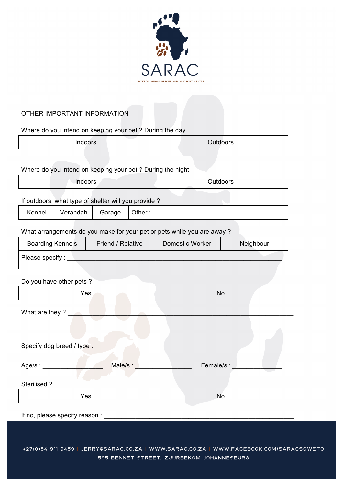

# OTHER IMPORTANT INFORMATION

Where do you intend on keeping your pet ? During the day

| Indoors | <b>Outdoors</b> |  |
|---------|-----------------|--|
|         |                 |  |

Where do you intend on keeping your pet ? During the night

| Indoors |                                                     |        |        | Outdoors |  |  |
|---------|-----------------------------------------------------|--------|--------|----------|--|--|
|         | If outdoors, what type of shelter will you provide? |        |        |          |  |  |
| Kennel  | Verandah                                            | Garage | Other: |          |  |  |

What arrangements do you make for your pet or pets while you are away ?

| <b>Boarding Kennels</b>   | Friend / Relative                                                                                              | Domestic Worker | Neighbour  |
|---------------------------|----------------------------------------------------------------------------------------------------------------|-----------------|------------|
|                           | Please specify : Network and the state of the state of the state of the state of the state of the state of the |                 |            |
|                           |                                                                                                                |                 |            |
| Do you have other pets ?  |                                                                                                                |                 |            |
|                           | Yes                                                                                                            | <b>No</b>       |            |
| What are they?            |                                                                                                                |                 |            |
|                           |                                                                                                                |                 |            |
|                           |                                                                                                                |                 |            |
| Specify dog breed / type: |                                                                                                                |                 |            |
|                           |                                                                                                                |                 |            |
| Age/s : __________        | Male/s :                                                                                                       |                 | Female/s : |
|                           |                                                                                                                |                 |            |
| Sterilised?               |                                                                                                                |                 |            |
|                           | Yes                                                                                                            | <b>No</b>       |            |

If no, please specify reason :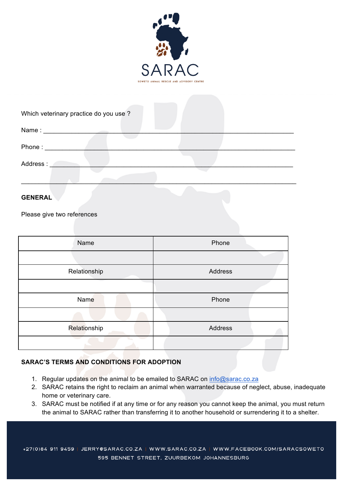

| Which veterinary practice do you use ? |  |
|----------------------------------------|--|
|                                        |  |
| Phone:                                 |  |
| Address:                               |  |
|                                        |  |

### **GENERAL**

Please give two references

| Name         | Phone   |
|--------------|---------|
|              |         |
| Relationship | Address |
|              |         |
| Name         | Phone   |
|              |         |
| Relationship | Address |
|              |         |

### **SARAC'S TERMS AND CONDITIONS FOR ADOPTION**

- 1. Regular updates on the animal to be emailed to SARAC on info@sarac.co.za
- 2. SARAC retains the right to reclaim an animal when warranted because of neglect, abuse, inadequate home or veterinary care.
- 3. SARAC must be notified if at any time or for any reason you cannot keep the animal, you must return the animal to SARAC rather than transferring it to another household or surrendering it to a shelter.